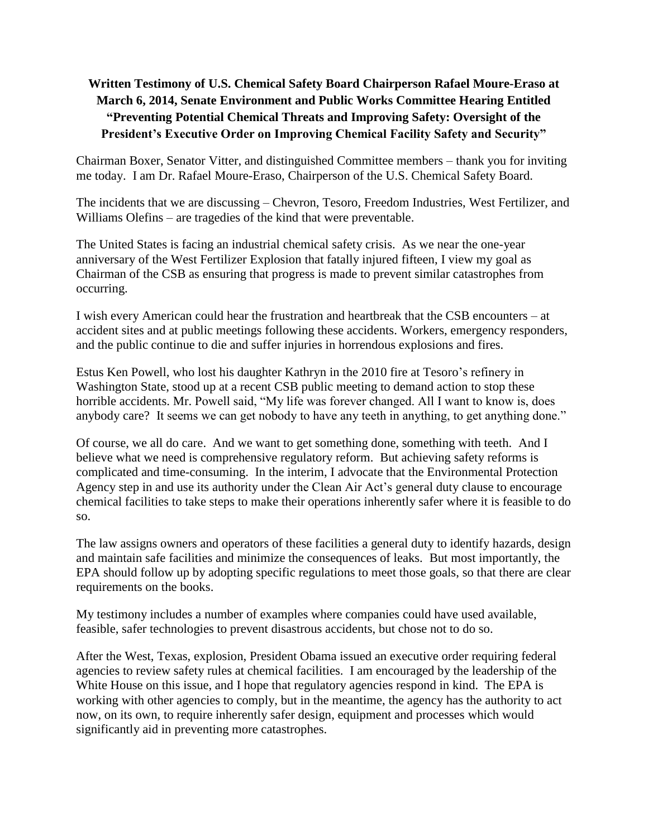# **Written Testimony of U.S. Chemical Safety Board Chairperson Rafael Moure-Eraso at March 6, 2014, Senate Environment and Public Works Committee Hearing Entitled "Preventing Potential Chemical Threats and Improving Safety: Oversight of the President's Executive Order on Improving Chemical Facility Safety and Security"**

Chairman Boxer, Senator Vitter, and distinguished Committee members – thank you for inviting me today. I am Dr. Rafael Moure-Eraso, Chairperson of the U.S. Chemical Safety Board.

The incidents that we are discussing – Chevron, Tesoro, Freedom Industries, West Fertilizer, and Williams Olefins – are tragedies of the kind that were preventable.

The United States is facing an industrial chemical safety crisis. As we near the one-year anniversary of the West Fertilizer Explosion that fatally injured fifteen, I view my goal as Chairman of the CSB as ensuring that progress is made to prevent similar catastrophes from occurring.

I wish every American could hear the frustration and heartbreak that the CSB encounters – at accident sites and at public meetings following these accidents. Workers, emergency responders, and the public continue to die and suffer injuries in horrendous explosions and fires.

Estus Ken Powell, who lost his daughter Kathryn in the 2010 fire at Tesoro's refinery in Washington State, stood up at a recent CSB public meeting to demand action to stop these horrible accidents. Mr. Powell said, "My life was forever changed. All I want to know is, does anybody care? It seems we can get nobody to have any teeth in anything, to get anything done."

Of course, we all do care. And we want to get something done, something with teeth. And I believe what we need is comprehensive regulatory reform. But achieving safety reforms is complicated and time-consuming. In the interim, I advocate that the Environmental Protection Agency step in and use its authority under the Clean Air Act's general duty clause to encourage chemical facilities to take steps to make their operations inherently safer where it is feasible to do so.

The law assigns owners and operators of these facilities a general duty to identify hazards, design and maintain safe facilities and minimize the consequences of leaks. But most importantly, the EPA should follow up by adopting specific regulations to meet those goals, so that there are clear requirements on the books.

My testimony includes a number of examples where companies could have used available, feasible, safer technologies to prevent disastrous accidents, but chose not to do so.

After the West, Texas, explosion, President Obama issued an executive order requiring federal agencies to review safety rules at chemical facilities. I am encouraged by the leadership of the White House on this issue, and I hope that regulatory agencies respond in kind. The EPA is working with other agencies to comply, but in the meantime, the agency has the authority to act now, on its own, to require inherently safer design, equipment and processes which would significantly aid in preventing more catastrophes.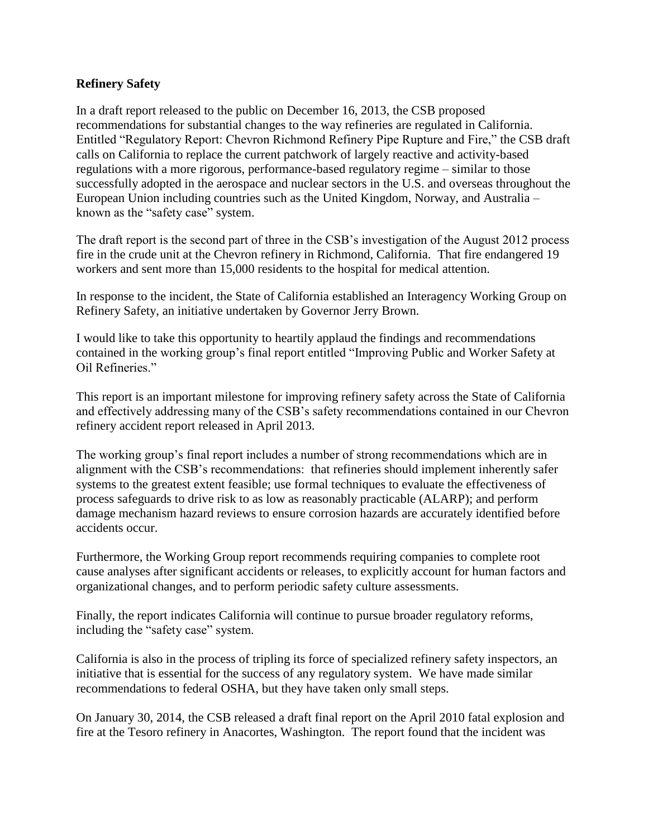#### **Refinery Safety**

In a draft report released to the public on December 16, 2013, the CSB proposed recommendations for substantial changes to the way refineries are regulated in California. Entitled "Regulatory Report: Chevron Richmond Refinery Pipe Rupture and Fire," the CSB draft calls on California to replace the current patchwork of largely reactive and activity-based regulations with a more rigorous, performance-based regulatory regime – similar to those successfully adopted in the aerospace and nuclear sectors in the U.S. and overseas throughout the European Union including countries such as the United Kingdom, Norway, and Australia – known as the "safety case" system.

The draft report is the second part of three in the CSB's investigation of the August 2012 process fire in the crude unit at the Chevron refinery in Richmond, California. That fire endangered 19 workers and sent more than 15,000 residents to the hospital for medical attention.

In response to the incident, the State of California established an Interagency Working Group on Refinery Safety, an initiative undertaken by Governor Jerry Brown.

I would like to take this opportunity to heartily applaud the findings and recommendations contained in the working group's final report entitled "Improving Public and Worker Safety at Oil Refineries."

This report is an important milestone for improving refinery safety across the State of California and effectively addressing many of the CSB's safety recommendations contained in our Chevron refinery accident report released in April 2013.

The working group's final report includes a number of strong recommendations which are in alignment with the CSB's recommendations: that refineries should implement inherently safer systems to the greatest extent feasible; use formal techniques to evaluate the effectiveness of process safeguards to drive risk to as low as reasonably practicable (ALARP); and perform damage mechanism hazard reviews to ensure corrosion hazards are accurately identified before accidents occur.

Furthermore, the Working Group report recommends requiring companies to complete root cause analyses after significant accidents or releases, to explicitly account for human factors and organizational changes, and to perform periodic safety culture assessments.

Finally, the report indicates California will continue to pursue broader regulatory reforms, including the "safety case" system.

California is also in the process of tripling its force of specialized refinery safety inspectors, an initiative that is essential for the success of any regulatory system. We have made similar recommendations to federal OSHA, but they have taken only small steps.

On January 30, 2014, the CSB released a draft final report on the April 2010 fatal explosion and fire at the Tesoro refinery in Anacortes, Washington. The report found that the incident was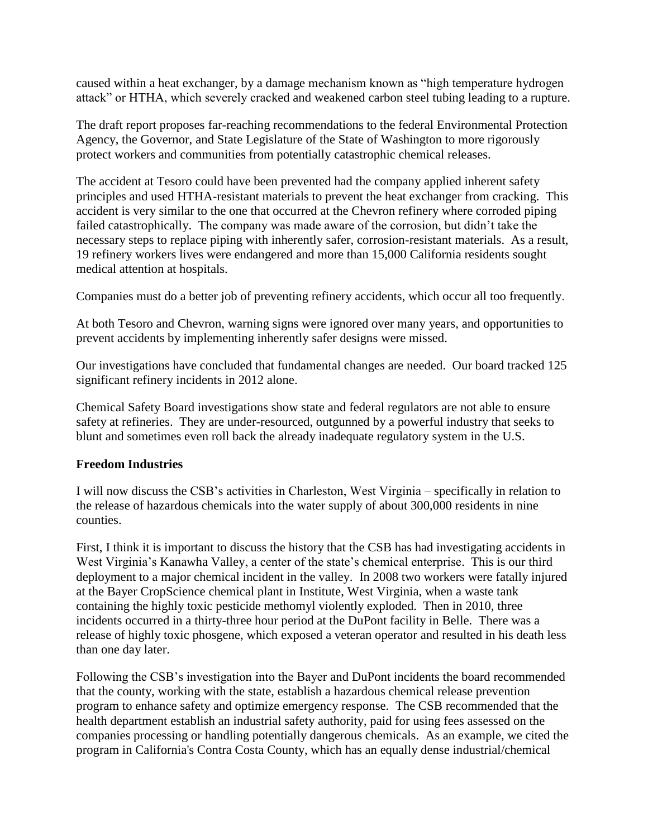caused within a heat exchanger, by a damage mechanism known as "high temperature hydrogen attack" or HTHA, which severely cracked and weakened carbon steel tubing leading to a rupture.

The draft report proposes far-reaching recommendations to the federal Environmental Protection Agency, the Governor, and State Legislature of the State of Washington to more rigorously protect workers and communities from potentially catastrophic chemical releases.

The accident at Tesoro could have been prevented had the company applied inherent safety principles and used HTHA-resistant materials to prevent the heat exchanger from cracking. This accident is very similar to the one that occurred at the Chevron refinery where corroded piping failed catastrophically. The company was made aware of the corrosion, but didn't take the necessary steps to replace piping with inherently safer, corrosion-resistant materials. As a result, 19 refinery workers lives were endangered and more than 15,000 California residents sought medical attention at hospitals.

Companies must do a better job of preventing refinery accidents, which occur all too frequently.

At both Tesoro and Chevron, warning signs were ignored over many years, and opportunities to prevent accidents by implementing inherently safer designs were missed.

Our investigations have concluded that fundamental changes are needed. Our board tracked 125 significant refinery incidents in 2012 alone.

Chemical Safety Board investigations show state and federal regulators are not able to ensure safety at refineries. They are under-resourced, outgunned by a powerful industry that seeks to blunt and sometimes even roll back the already inadequate regulatory system in the U.S.

## **Freedom Industries**

I will now discuss the CSB's activities in Charleston, West Virginia – specifically in relation to the release of hazardous chemicals into the water supply of about 300,000 residents in nine counties.

First, I think it is important to discuss the history that the CSB has had investigating accidents in West Virginia's Kanawha Valley, a center of the state's chemical enterprise. This is our third deployment to a major chemical incident in the valley. In 2008 two workers were fatally injured at the Bayer CropScience chemical plant in Institute, West Virginia, when a waste tank containing the highly toxic pesticide methomyl violently exploded. Then in 2010, three incidents occurred in a thirty-three hour period at the DuPont facility in Belle. There was a release of highly toxic phosgene, which exposed a veteran operator and resulted in his death less than one day later.

Following the CSB's investigation into the Bayer and DuPont incidents the board recommended that the county, working with the state, establish a hazardous chemical release prevention program to enhance safety and optimize emergency response. The CSB recommended that the health department establish an industrial safety authority, paid for using fees assessed on the companies processing or handling potentially dangerous chemicals. As an example, we cited the program in California's Contra Costa County, which has an equally dense industrial/chemical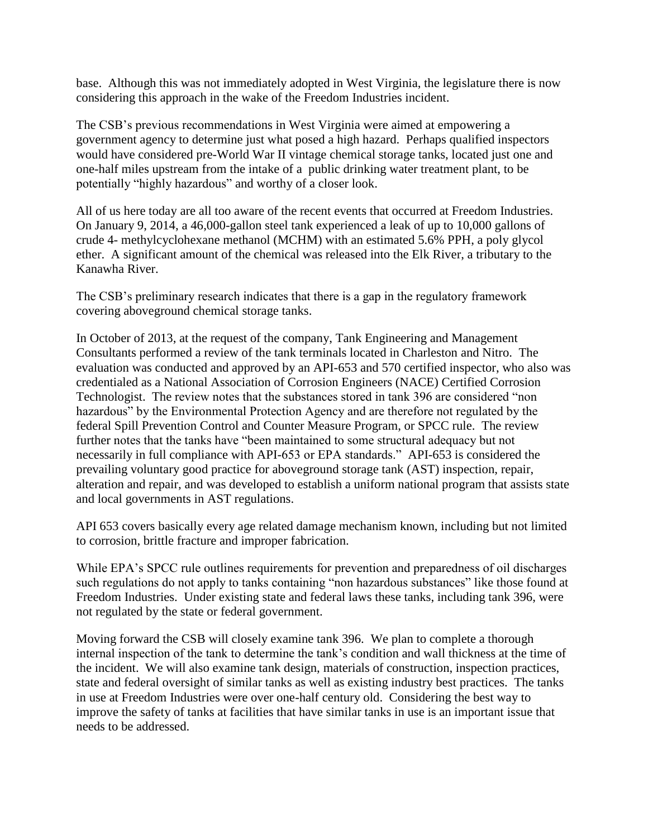base. Although this was not immediately adopted in West Virginia, the legislature there is now considering this approach in the wake of the Freedom Industries incident.

The CSB's previous recommendations in West Virginia were aimed at empowering a government agency to determine just what posed a high hazard. Perhaps qualified inspectors would have considered pre-World War II vintage chemical storage tanks, located just one and one-half miles upstream from the intake of a public drinking water treatment plant, to be potentially "highly hazardous" and worthy of a closer look.

All of us here today are all too aware of the recent events that occurred at Freedom Industries. On January 9, 2014, a 46,000-gallon steel tank experienced a leak of up to 10,000 gallons of crude 4- methylcyclohexane methanol (MCHM) with an estimated 5.6% PPH, a poly glycol ether. A significant amount of the chemical was released into the Elk River, a tributary to the Kanawha River.

The CSB's preliminary research indicates that there is a gap in the regulatory framework covering aboveground chemical storage tanks.

In October of 2013, at the request of the company, Tank Engineering and Management Consultants performed a review of the tank terminals located in Charleston and Nitro. The evaluation was conducted and approved by an API-653 and 570 certified inspector, who also was credentialed as a National Association of Corrosion Engineers (NACE) Certified Corrosion Technologist. The review notes that the substances stored in tank 396 are considered "non hazardous" by the Environmental Protection Agency and are therefore not regulated by the federal Spill Prevention Control and Counter Measure Program, or SPCC rule. The review further notes that the tanks have "been maintained to some structural adequacy but not necessarily in full compliance with API-653 or EPA standards." API-653 is considered the prevailing voluntary good practice for aboveground storage tank (AST) inspection, repair, alteration and repair, and was developed to establish a uniform national program that assists state and local governments in AST regulations.

API 653 covers basically every age related damage mechanism known, including but not limited to corrosion, brittle fracture and improper fabrication.

While EPA's SPCC rule outlines requirements for prevention and preparedness of oil discharges such regulations do not apply to tanks containing "non hazardous substances" like those found at Freedom Industries. Under existing state and federal laws these tanks, including tank 396, were not regulated by the state or federal government.

Moving forward the CSB will closely examine tank 396. We plan to complete a thorough internal inspection of the tank to determine the tank's condition and wall thickness at the time of the incident. We will also examine tank design, materials of construction, inspection practices, state and federal oversight of similar tanks as well as existing industry best practices. The tanks in use at Freedom Industries were over one-half century old. Considering the best way to improve the safety of tanks at facilities that have similar tanks in use is an important issue that needs to be addressed.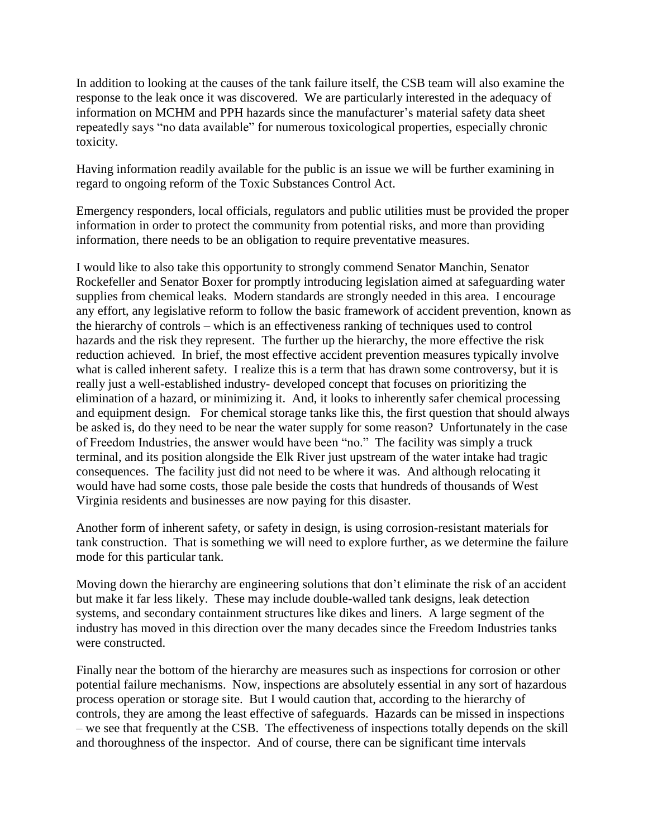In addition to looking at the causes of the tank failure itself, the CSB team will also examine the response to the leak once it was discovered. We are particularly interested in the adequacy of information on MCHM and PPH hazards since the manufacturer's material safety data sheet repeatedly says "no data available" for numerous toxicological properties, especially chronic toxicity.

Having information readily available for the public is an issue we will be further examining in regard to ongoing reform of the Toxic Substances Control Act.

Emergency responders, local officials, regulators and public utilities must be provided the proper information in order to protect the community from potential risks, and more than providing information, there needs to be an obligation to require preventative measures.

I would like to also take this opportunity to strongly commend Senator Manchin, Senator Rockefeller and Senator Boxer for promptly introducing legislation aimed at safeguarding water supplies from chemical leaks. Modern standards are strongly needed in this area. I encourage any effort, any legislative reform to follow the basic framework of accident prevention, known as the hierarchy of controls – which is an effectiveness ranking of techniques used to control hazards and the risk they represent. The further up the hierarchy, the more effective the risk reduction achieved. In brief, the most effective accident prevention measures typically involve what is called inherent safety. I realize this is a term that has drawn some controversy, but it is really just a well-established industry- developed concept that focuses on prioritizing the elimination of a hazard, or minimizing it. And, it looks to inherently safer chemical processing and equipment design. For chemical storage tanks like this, the first question that should always be asked is, do they need to be near the water supply for some reason? Unfortunately in the case of Freedom Industries, the answer would have been "no." The facility was simply a truck terminal, and its position alongside the Elk River just upstream of the water intake had tragic consequences. The facility just did not need to be where it was. And although relocating it would have had some costs, those pale beside the costs that hundreds of thousands of West Virginia residents and businesses are now paying for this disaster.

Another form of inherent safety, or safety in design, is using corrosion-resistant materials for tank construction. That is something we will need to explore further, as we determine the failure mode for this particular tank.

Moving down the hierarchy are engineering solutions that don't eliminate the risk of an accident but make it far less likely. These may include double-walled tank designs, leak detection systems, and secondary containment structures like dikes and liners. A large segment of the industry has moved in this direction over the many decades since the Freedom Industries tanks were constructed.

Finally near the bottom of the hierarchy are measures such as inspections for corrosion or other potential failure mechanisms. Now, inspections are absolutely essential in any sort of hazardous process operation or storage site. But I would caution that, according to the hierarchy of controls, they are among the least effective of safeguards. Hazards can be missed in inspections – we see that frequently at the CSB. The effectiveness of inspections totally depends on the skill and thoroughness of the inspector. And of course, there can be significant time intervals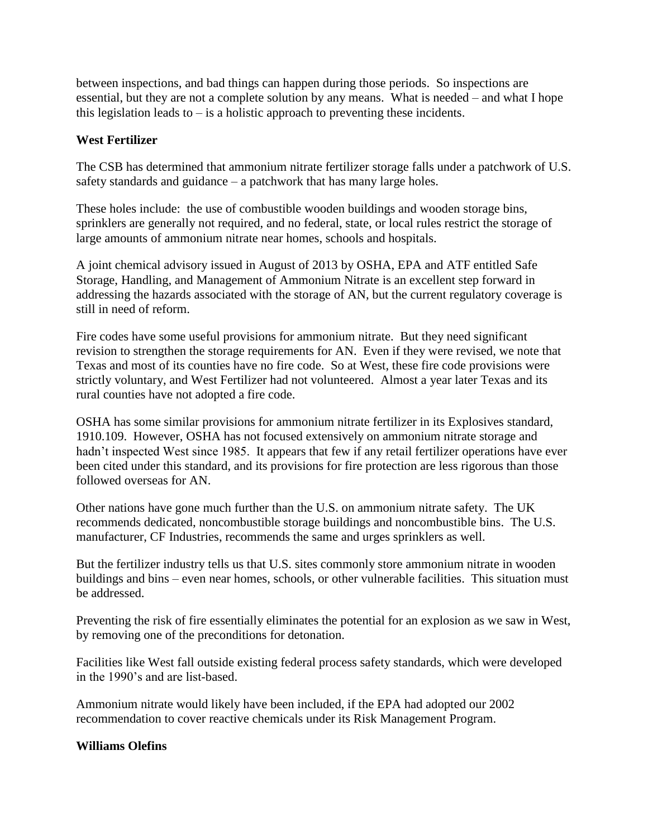between inspections, and bad things can happen during those periods. So inspections are essential, but they are not a complete solution by any means. What is needed – and what I hope this legislation leads to  $-\overline{\ }$  is a holistic approach to preventing these incidents.

## **West Fertilizer**

The CSB has determined that ammonium nitrate fertilizer storage falls under a patchwork of U.S. safety standards and guidance – a patchwork that has many large holes.

These holes include: the use of combustible wooden buildings and wooden storage bins, sprinklers are generally not required, and no federal, state, or local rules restrict the storage of large amounts of ammonium nitrate near homes, schools and hospitals.

A joint chemical advisory issued in August of 2013 by OSHA, EPA and ATF entitled Safe Storage, Handling, and Management of Ammonium Nitrate is an excellent step forward in addressing the hazards associated with the storage of AN, but the current regulatory coverage is still in need of reform.

Fire codes have some useful provisions for ammonium nitrate. But they need significant revision to strengthen the storage requirements for AN. Even if they were revised, we note that Texas and most of its counties have no fire code. So at West, these fire code provisions were strictly voluntary, and West Fertilizer had not volunteered. Almost a year later Texas and its rural counties have not adopted a fire code.

OSHA has some similar provisions for ammonium nitrate fertilizer in its Explosives standard, 1910.109. However, OSHA has not focused extensively on ammonium nitrate storage and hadn't inspected West since 1985. It appears that few if any retail fertilizer operations have ever been cited under this standard, and its provisions for fire protection are less rigorous than those followed overseas for AN.

Other nations have gone much further than the U.S. on ammonium nitrate safety. The UK recommends dedicated, noncombustible storage buildings and noncombustible bins. The U.S. manufacturer, CF Industries, recommends the same and urges sprinklers as well.

But the fertilizer industry tells us that U.S. sites commonly store ammonium nitrate in wooden buildings and bins – even near homes, schools, or other vulnerable facilities. This situation must be addressed.

Preventing the risk of fire essentially eliminates the potential for an explosion as we saw in West, by removing one of the preconditions for detonation.

Facilities like West fall outside existing federal process safety standards, which were developed in the 1990's and are list-based.

Ammonium nitrate would likely have been included, if the EPA had adopted our 2002 recommendation to cover reactive chemicals under its Risk Management Program.

#### **Williams Olefins**